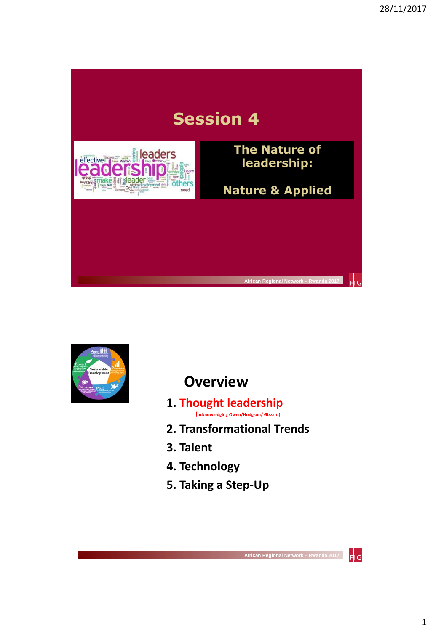



## **Overview**

- **1. Thought leadership (acknowledging Owen/Hodgson/ Gizzard)**
- **2. Transformational Trends**
- **3. Talent**
- **4. Technology**
- **5. Taking a Step-Up**

 $F||G$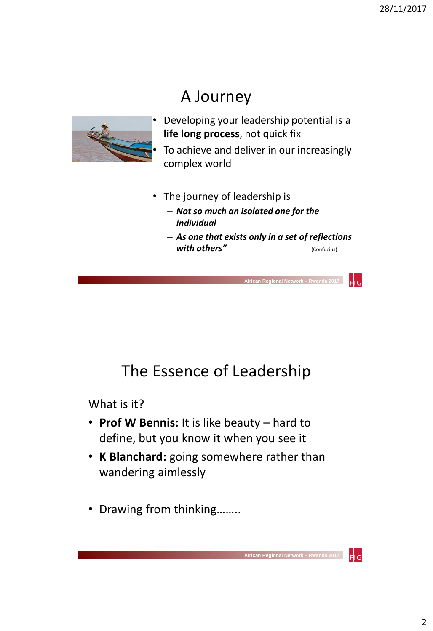# A Journey



- Developing your leadership potential is a **life long process**, not quick fix • To achieve and deliver in our increasingly complex world
- The journey of leadership is
	- *Not so much an isolated one for the individual*
	- *As one that exists only in a set of reflections with others"* (Confucius)

 **African Regional Network – Rwanda 2017** 

Flig

 $F$ <sub>IlG</sub>

 **African Regional Network – R** 

## The Essence of Leadership

What is it?

- **Prof W Bennis:** It is like beauty hard to define, but you know it when you see it
- **K Blanchard:** going somewhere rather than wandering aimlessly
- Drawing from thinking……..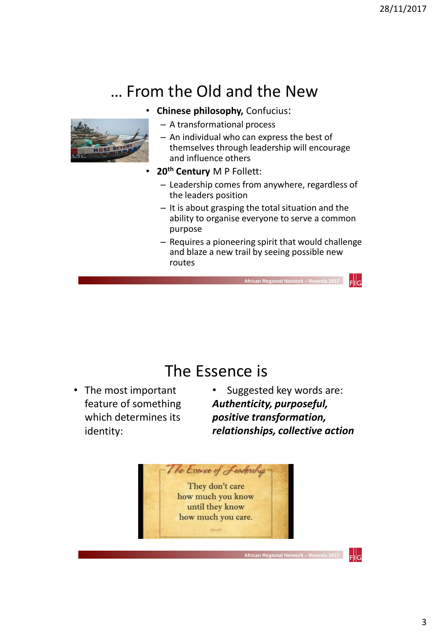# … From the Old and the New



- **Chinese philosophy,** Confucius:
	- A transformational process
	- An individual who can express the best of themselves through leadership will encourage and influence others
- **20th Century** M P Follett:
	- Leadership comes from anywhere, regardless of the leaders position
	- It is about grasping the total situation and the ability to organise everyone to serve a common purpose
	- Requires a pioneering spirit that would challenge and blaze a new trail by seeing possible new routes

 **African Regional Network – Rwanda 2017** 

## The Essence is

- The most important feature of something which determines its identity:
- Suggested key words are: *Authenticity, purposeful, positive transformation, relationships, collective action*

 **African Regional Network – Rwanda 2017** 



 $F$ <sub>Isl</sub>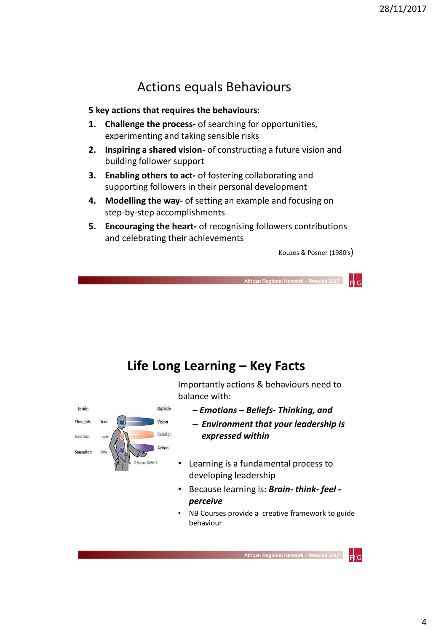### Actions equals Behaviours

#### **5 key actions that requires the behaviours**:

- **1. Challenge the process-** of searching for opportunities, experimenting and taking sensible risks
- **2. Inspiring a shared vision-** of constructing a future vision and building follower support
- **3. Enabling others to act-** of fostering collaborating and supporting followers in their personal development
- **4. Modelling the way-** of setting an example and focusing on step-by-step accomplishments
- **5. Encouraging the heart-** of recognising followers contributions and celebrating their achievements

Kouzes & Posner (1980's)

 **African Regional Network –** 

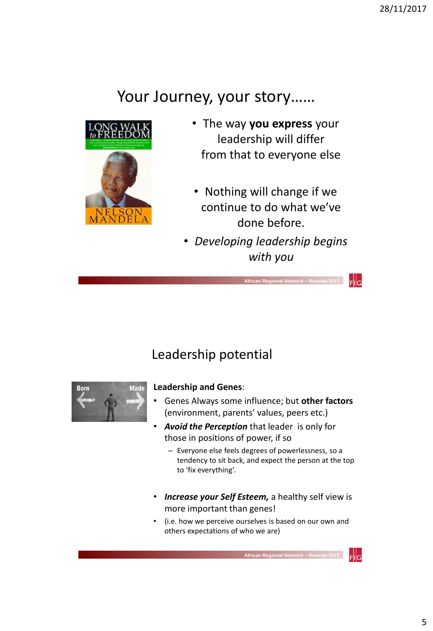## Your Journey, your story……



- The way **you express** your leadership will differ from that to everyone else
- Nothing will change if we continue to do what we've done before.
- *Developing leadership begins with you*

 **African Regional Network – Rwanda 2017** 

### Leadership potential



#### **Leadership and Genes**:

- Genes Always some influence; but **other factors**  (environment, parents' values, peers etc.)
- *Avoid the Perception* that leader is only for those in positions of power, if so
	- Everyone else feels degrees of powerlessness, so a tendency to sit back, and expect the person at the top to 'fix everything'.
- *Increase your Self Esteem,* a healthy self view is more important than genes!
- (i.e. how we perceive ourselves is based on our own and others expectations of who we are)



 $F$ <sub>Isl</sub>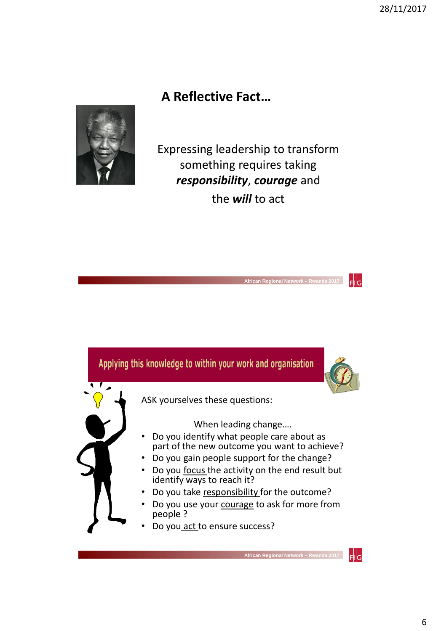### **A Reflective Fact…**



Expressing leadership to transform something requires taking *responsibility*, *courage* and the *will* to act

 **African Regional Network – Rwanda 2017** 

 $F$ <sub>IlG</sub>

#### Applying this knowledge to within your work and organisation



ASK yourselves these questions:

When leading change….

- Do you identify what people care about as part of the new outcome you want to achieve?
- Do you gain people support for the change?
- Do you focus the activity on the end result but identify ways to reach it?
- Do you take responsibility for the outcome?
- Do you use your courage to ask for more from people ?
- Do you act to ensure success?

 $F$ ll $G$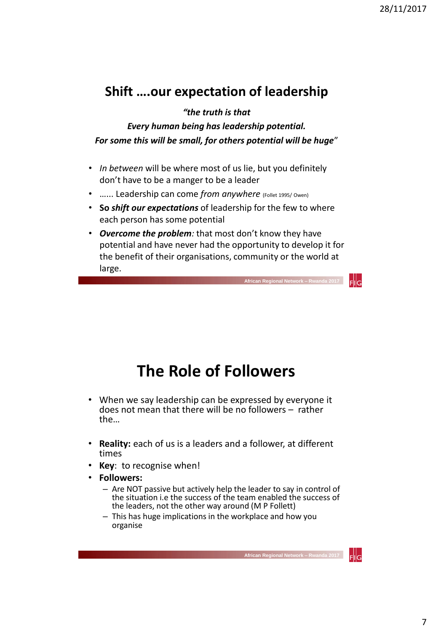### **Shift ….our expectation of leadership**

*"the truth is that* 

*Every human being has leadership potential. For some this will be small, for others potential will be huge*"

- *In between* will be where most of us lie, but you definitely don't have to be a manger to be a leader
- …... Leadership can come *from anywhere* (Follet 1995/ Owen)
- **So** *shift our expectations* of leadership for the few to where each person has some potential
- *Overcome the problem:* that most don't know they have potential and have never had the opportunity to develop it for the benefit of their organisations, community or the world at large.

# **The Role of Followers**

- When we say leadership can be expressed by everyone it does not mean that there will be no followers – rather the…
- **Reality:** each of us is a leaders and a follower, at different times
- **Key**: to recognise when!
- **Followers:** 
	- Are NOT passive but actively help the leader to say in control of the situation i.e the success of the team enabled the success of the leaders, not the other way around (M P Follett)
	- This has huge implications in the workplace and how you organise

 **African Regional Network – Rwanda 2017** 

Flig

FIIG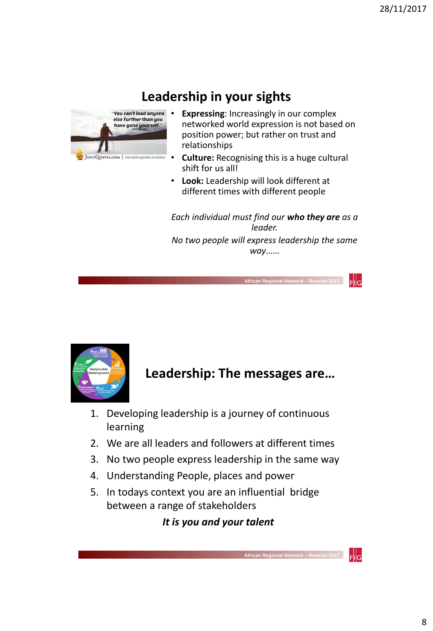## **Leadership in your sights**



- You can't lead anyone . Expressing: Increasingly in our complex networked world expression is not based on position power; but rather on trust and relationships
	- **Culture:** Recognising this is a huge cultural shift for us all!
	- **Look:** Leadership will look different at different times with different people

*Each individual must find our who they are as a leader.* 

*No two people will express leadership the same way*……

 **African Regional Network – Rwanda 2017** 

 $F$ <sub>Isl</sub>

 $\mathsf{FllG}$ 



**Leadership: The messages are…**

- 1. Developing leadership is a journey of continuous learning
- 2. We are all leaders and followers at different times
- 3. No two people express leadership in the same way
- 4. Understanding People, places and power
- 5. In todays context you are an influential bridge between a range of stakeholders

*It is you and your talent*

 **African Regional Network – Rwanda 2017**